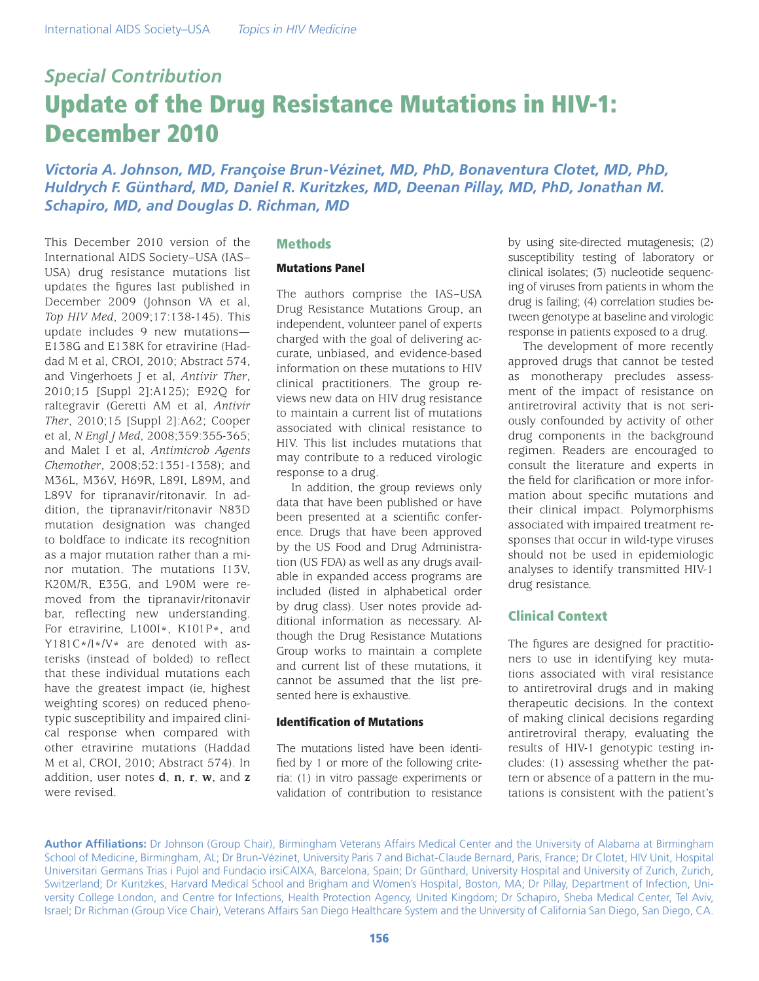# *Special Contribution* Update of the Drug Resistance Mutations in HIV-1: December 2010

*Victoria A. Johnson, MD, Françoise Brun-Vézinet, MD, PhD, Bonaventura Clotet, MD, PhD, Huldrych F. Günthard, MD, Daniel R. Kuritzkes, MD, Deenan Pillay, MD, PhD, Jonathan M. Schapiro, MD, and Douglas D. Richman, MD*

This December 2010 version of the International AIDS Society–USA (IAS– USA) drug resistance mutations list updates the figures last published in December 2009 (Johnson VA et al, *Top HIV Med*, 2009;17:138-145). This update includes 9 new mutations— E138G and E138K for etravirine (Haddad M et al, CROI, 2010; Abstract 574, and Vingerhoets J et al, *Antivir Ther*, 2010;15 [Suppl 2]:A125); E92Q for raltegravir (Geretti AM et al, *Antivir Ther*, 2010;15 [Suppl 2]:A62; Cooper et al, *N Engl J Med*, 2008;359:355-365; and Malet I et al, *Antimicrob Agents Chemother*, 2008;52:1351-1358); and M36L, M36V, H69R, L89I, L89M, and L89V for tipranavir/ritonavir. In addition, the tipranavir/ritonavir N83D mutation designation was changed to boldface to indicate its recognition as a major mutation rather than a minor mutation. The mutations I13V, K20M/R, E35G, and L90M were removed from the tipranavir/ritonavir bar, reflecting new understanding. For etravirine, L100I\*, K101P\*, and Y181C\*/I\*/V\* are denoted with asterisks (instead of bolded) to reflect that these individual mutations each have the greatest impact (ie, highest weighting scores) on reduced phenotypic susceptibility and impaired clinical response when compared with other etravirine mutations (Haddad M et al, CROI, 2010; Abstract 574). In addition, user notes **d**, **n**, **r**, **w**, and **z** were revised.

## **Methods**

## Mutations Panel

The authors comprise the IAS–USA Drug Resistance Mutations Group, an independent, volunteer panel of experts charged with the goal of delivering accurate, unbiased, and evidence-based information on these mutations to HIV clinical practitioners. The group reviews new data on HIV drug resistance to maintain a current list of mutations associated with clinical resistance to HIV. This list includes mutations that may contribute to a reduced virologic response to a drug.

In addition, the group reviews only data that have been published or have been presented at a scientific conference. Drugs that have been approved by the US Food and Drug Administration (US FDA) as well as any drugs available in expanded access programs are included (listed in alphabetical order by drug class). User notes provide additional information as necessary. Although the Drug Resistance Mutations Group works to maintain a complete and current list of these mutations, it cannot be assumed that the list presented here is exhaustive.

### Identification of Mutations

The mutations listed have been identified by 1 or more of the following criteria: (1) in vitro passage experiments or validation of contribution to resistance

by using site-directed mutagenesis; (2) susceptibility testing of laboratory or clinical isolates; (3) nucleotide sequencing of viruses from patients in whom the drug is failing; (4) correlation studies between genotype at baseline and virologic response in patients exposed to a drug.

The development of more recently approved drugs that cannot be tested as monotherapy precludes assessment of the impact of resistance on antiretroviral activity that is not seriously confounded by activity of other drug components in the background regimen. Readers are encouraged to consult the literature and experts in the field for clarification or more information about specific mutations and their clinical impact. Polymorphisms associated with impaired treatment responses that occur in wild-type viruses should not be used in epidemiologic analyses to identify transmitted HIV-1 drug resistance.

## Clinical Context

The figures are designed for practitioners to use in identifying key mutations associated with viral resistance to antiretroviral drugs and in making therapeutic decisions. In the context of making clinical decisions regarding antiretroviral therapy, evaluating the results of HIV-1 genotypic testing includes: (1) assessing whether the pattern or absence of a pattern in the mutations is consistent with the patient's

**Author Affiliations:** Dr Johnson (Group Chair), Birmingham Veterans Affairs Medical Center and the University of Alabama at Birmingham School of Medicine, Birmingham, AL; Dr Brun-Vézinet, University Paris 7 and Bichat-Claude Bernard, Paris, France; Dr Clotet, HIV Unit, Hospital Universitari Germans Trias i Pujol and Fundacio irsiCAIXA, Barcelona, Spain; Dr Günthard, University Hospital and University of Zurich, Zurich, Switzerland; Dr Kuritzkes, Harvard Medical School and Brigham and Women's Hospital, Boston, MA; Dr Pillay, Department of Infection, University College London, and Centre for Infections, Health Protection Agency, United Kingdom; Dr Schapiro, Sheba Medical Center, Tel Aviv, Israel; Dr Richman (Group Vice Chair), Veterans Affairs San Diego Healthcare System and the University of California San Diego, San Diego, CA.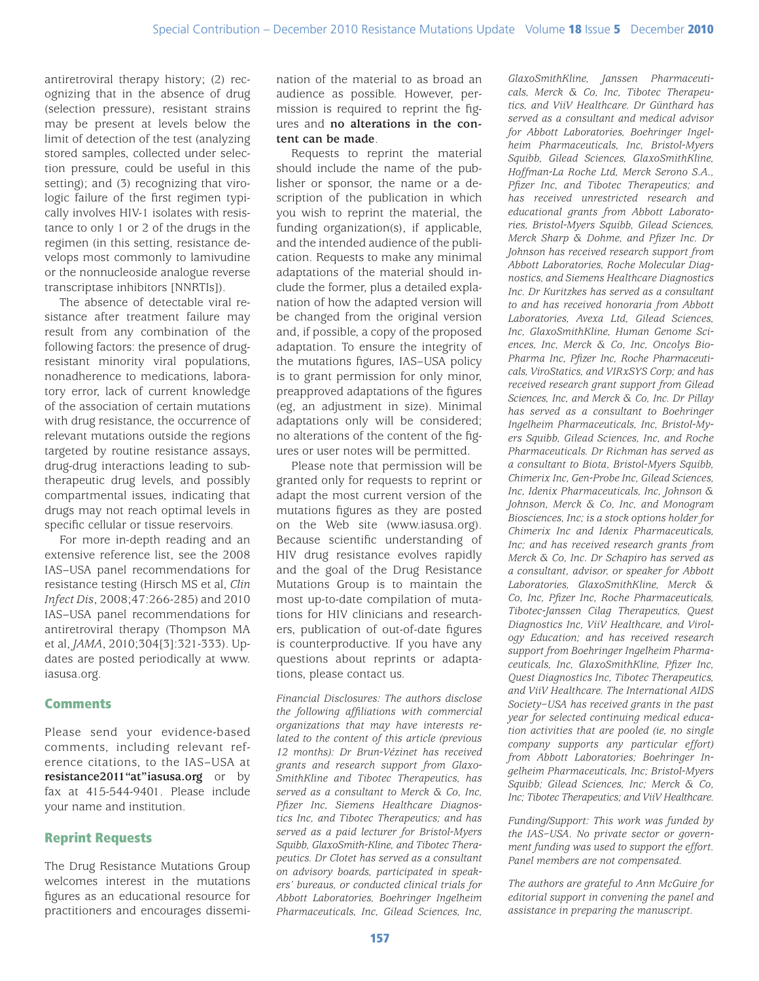antiretroviral therapy history; (2) recognizing that in the absence of drug (selection pressure), resistant strains may be present at levels below the limit of detection of the test (analyzing stored samples, collected under selection pressure, could be useful in this setting); and (3) recognizing that virologic failure of the first regimen typically involves HIV-1 isolates with resistance to only 1 or 2 of the drugs in the regimen (in this setting, resistance develops most commonly to lamivudine or the nonnucleoside analogue reverse transcriptase inhibitors [NNRTIs]).

The absence of detectable viral resistance after treatment failure may result from any combination of the following factors: the presence of drugresistant minority viral populations, nonadherence to medications, laboratory error, lack of current knowledge of the association of certain mutations with drug resistance, the occurrence of relevant mutations outside the regions targeted by routine resistance assays, drug-drug interactions leading to subtherapeutic drug levels, and possibly compartmental issues, indicating that drugs may not reach optimal levels in specific cellular or tissue reservoirs.

For more in-depth reading and an extensive reference list, see the 2008 IAS–USA panel recommendations for resistance testing (Hirsch MS et al, *Clin Infect Dis*, 2008;47:266-285) and 2010 IAS–USA panel recommendations for antiretroviral therapy (Thompson MA et al, *JAMA*, 2010;304[3]:321-333). Updates are posted periodically at www. iasusa.org.

## **Comments**

Please send your evidence-based comments, including relevant reference citations, to the IAS–USA at **resistance2011"at"iasusa.org** or by fax at 415-544-9401. Please include your name and institution.

# Reprint Requests

The Drug Resistance Mutations Group welcomes interest in the mutations figures as an educational resource for practitioners and encourages dissemination of the material to as broad an audience as possible. However, permission is required to reprint the figures and **no alterations in the content can be made**.

Requests to reprint the material should include the name of the publisher or sponsor, the name or a description of the publication in which you wish to reprint the material, the funding organization(s), if applicable, and the intended audience of the publication. Requests to make any minimal adaptations of the material should include the former, plus a detailed explanation of how the adapted version will be changed from the original version and, if possible, a copy of the proposed adaptation. To ensure the integrity of the mutations figures, IAS–USA policy is to grant permission for only minor, preapproved adaptations of the figures (eg, an adjustment in size). Minimal adaptations only will be considered; no alterations of the content of the figures or user notes will be permitted.

Please note that permission will be granted only for requests to reprint or adapt the most current version of the mutations figures as they are posted on the Web site (www.iasusa.org). Because scientific understanding of HIV drug resistance evolves rapidly and the goal of the Drug Resistance Mutations Group is to maintain the most up-to-date compilation of mutations for HIV clinicians and researchers, publication of out-of-date figures is counterproductive. If you have any questions about reprints or adaptations, please contact us.

*Financial Disclosures: The authors disclose the following affiliations with commercial organizations that may have interests related to the content of this article (previous 12 months): Dr Brun-Vézinet has received grants and research support from Glaxo-SmithKline and Tibotec Therapeutics, has served as a consultant to Merck & Co, Inc, Pfizer Inc, Siemens Healthcare Diagnostics Inc, and Tibotec Therapeutics; and has served as a paid lecturer for Bristol-Myers Squibb, GlaxoSmith-Kline, and Tibotec Therapeutics. Dr Clotet has served as a consultant on advisory boards, participated in speakers' bureaus, or conducted clinical trials for Abbott Laboratories, Boehringer Ingelheim Pharmaceuticals, Inc, Gilead Sciences, Inc,* 

*GlaxoSmithKline, Janssen Pharmaceuticals, Merck & Co, Inc, Tibotec Therapeutics, and ViiV Healthcare. Dr Günthard has served as a consultant and medical advisor for Abbott Laboratories, Boehringer Ingelheim Pharmaceuticals, Inc, Bristol-Myers Squibb, Gilead Sciences, GlaxoSmithKline, Hoffman-La Roche Ltd, Merck Serono S.A., Pfizer Inc, and Tibotec Therapeutics; and has received unrestricted research and educational grants from Abbott Laboratories, Bristol-Myers Squibb, Gilead Sciences, Merck Sharp & Dohme, and Pfizer Inc. Dr Johnson has received research support from Abbott Laboratories, Roche Molecular Diagnostics, and Siemens Healthcare Diagnostics Inc. Dr Kuritzkes has served as a consultant to and has received honoraria from Abbott Laboratories, Avexa Ltd, Gilead Sciences, Inc, GlaxoSmithKline, Human Genome Sciences, Inc, Merck & Co, Inc, Oncolys Bio-Pharma Inc, Pfizer Inc, Roche Pharmaceuticals, ViroStatics, and VIRxSYS Corp; and has received research grant support from Gilead Sciences, Inc, and Merck & Co, Inc. Dr Pillay has served as a consultant to Boehringer Ingelheim Pharmaceuticals, Inc, Bristol-Myers Squibb, Gilead Sciences, Inc, and Roche Pharmaceuticals. Dr Richman has served as a consultant to Biota, Bristol-Myers Squibb, Chimerix Inc, Gen-Probe Inc, Gilead Sciences, Inc, Idenix Pharmaceuticals, Inc, Johnson & Johnson, Merck & Co, Inc, and Monogram Biosciences, Inc; is a stock options holder for Chimerix Inc and Idenix Pharmaceuticals, Inc; and has received research grants from Merck & Co, Inc. Dr Schapiro has served as a consultant, advisor, or speaker for Abbott Laboratories, GlaxoSmithKline, Merck & Co, Inc, Pfizer Inc, Roche Pharmaceuticals, Tibotec-Janssen Cilag Therapeutics, Quest Diagnostics Inc, ViiV Healthcare, and Virology Education; and has received research support from Boehringer Ingelheim Pharmaceuticals, Inc, GlaxoSmithKline, Pfizer Inc, Quest Diagnostics Inc, Tibotec Therapeutics, and ViiV Healthcare. The International AIDS Society–USA has received grants in the past year for selected continuing medical education activities that are pooled (ie, no single company supports any particular effort) from Abbott Laboratories; Boehringer Ingelheim Pharmaceuticals, Inc; Bristol-Myers Squibb; Gilead Sciences, Inc; Merck & Co, Inc; Tibotec Therapeutics; and ViiV Healthcare.*

*Funding/Support: This work was funded by the IAS–USA. No private sector or government funding was used to support the effort. Panel members are not compensated.*

*The authors are grateful to Ann McGuire for editorial support in convening the panel and assistance in preparing the manuscript.*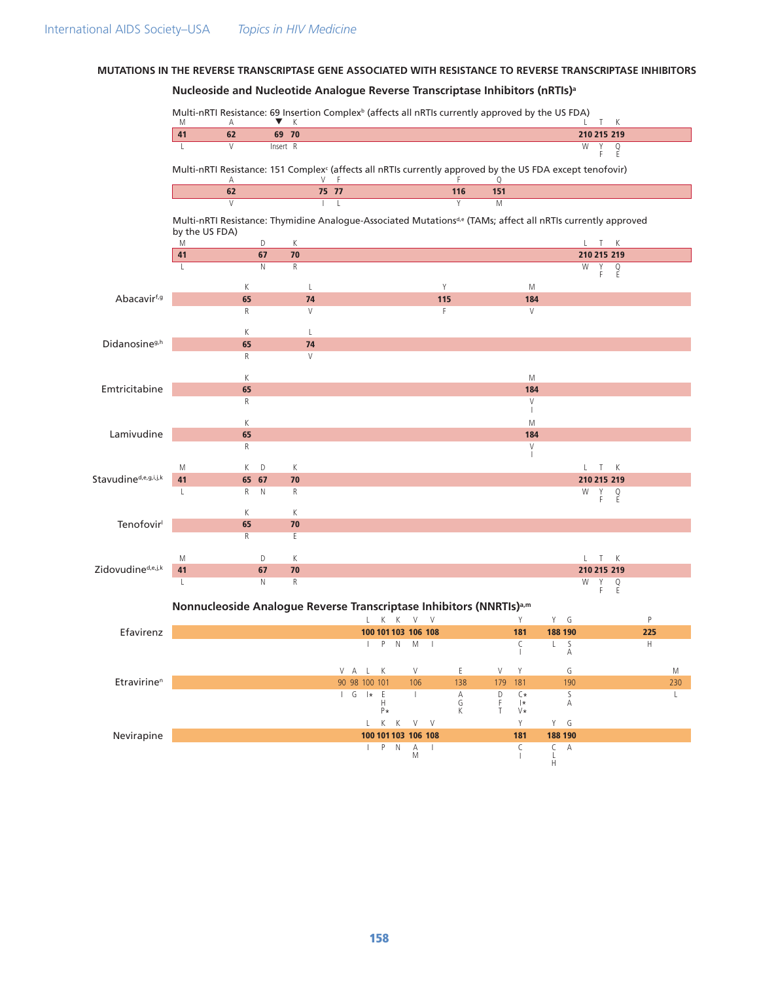# MUTATIONS IN THE REVERSE TRANSCRIPTASE GENE ASSOCIATED WITH RESISTANCE TO REVERSE TRANSCRIPTASE INHIBITORS

## Nucleoside and Nucleotide Analogue Reverse Transcriptase Inhibitors (nRTIs)<sup>a</sup>

|                                       | M              | Multi-nRTI Resistance: 69 Insertion Complex <sup>b</sup> (affects all nRTIs currently approved by the US FDA)<br>Α                        | v.          | К                  |               |                           |                     |                                         |              |        |        |                                    |                    |             |             | T K           |     |              |
|---------------------------------------|----------------|-------------------------------------------------------------------------------------------------------------------------------------------|-------------|--------------------|---------------|---------------------------|---------------------|-----------------------------------------|--------------|--------|--------|------------------------------------|--------------------|-------------|-------------|---------------|-----|--------------|
|                                       | 41             | 62                                                                                                                                        | 69 70       |                    |               |                           |                     |                                         |              |        |        |                                    |                    |             |             | 210 215 219   |     |              |
|                                       | L              | V                                                                                                                                         | Insert R    |                    |               |                           |                     |                                         |              |        |        |                                    |                    | W           | Υ<br>F      | $\frac{Q}{E}$ |     |              |
|                                       |                | Multi-nRTI Resistance: 151 Complex <sup>c</sup> (affects all nRTIs currently approved by the US FDA except tenofovir)<br>Α                |             | V                  | - F           |                           |                     |                                         |              |        | Q      |                                    |                    |             |             |               |     |              |
|                                       |                | 62                                                                                                                                        |             |                    | 75 77         |                           |                     |                                         |              | 116    | 151    |                                    |                    |             |             |               |     |              |
|                                       | by the US FDA) | $\overline{V}$<br>Multi-nRTI Resistance: Thymidine Analogue-Associated Mutations <sup>de</sup> (TAMs; affect all nRTIs currently approved |             |                    | $\mathbf{L}$  |                           |                     |                                         |              | Y      | M      |                                    |                    |             |             |               |     |              |
|                                       | M              |                                                                                                                                           | D           | K                  |               |                           |                     |                                         |              |        |        |                                    |                    |             | L T K       |               |     |              |
|                                       | 41             |                                                                                                                                           | 67          | 70                 |               |                           |                     |                                         |              |        |        |                                    |                    |             |             | 210 215 219   |     |              |
|                                       | $\mathsf{L}$   |                                                                                                                                           | N           | $\overline{R}$     |               |                           |                     |                                         |              |        |        |                                    |                    | W           | Y<br>F.     | $\frac{Q}{E}$ |     |              |
| Abacavirf,g                           |                | К<br>65                                                                                                                                   |             | $\mathsf{L}$<br>74 |               |                           |                     |                                         | Y<br>115     |        |        | M<br>184                           |                    |             |             |               |     |              |
|                                       |                | R                                                                                                                                         |             | V                  |               |                           |                     |                                         | F            |        |        | V                                  |                    |             |             |               |     |              |
|                                       |                |                                                                                                                                           |             |                    |               |                           |                     |                                         |              |        |        |                                    |                    |             |             |               |     |              |
|                                       |                | К                                                                                                                                         |             | $\mathsf{L}$       |               |                           |                     |                                         |              |        |        |                                    |                    |             |             |               |     |              |
| Didanosine <sup>g,h</sup>             |                | 65                                                                                                                                        |             | 74                 |               |                           |                     |                                         |              |        |        |                                    |                    |             |             |               |     |              |
|                                       |                | R                                                                                                                                         |             | V                  |               |                           |                     |                                         |              |        |        |                                    |                    |             |             |               |     |              |
|                                       |                | К                                                                                                                                         |             |                    |               |                           |                     |                                         |              |        |        | M                                  |                    |             |             |               |     |              |
| Emtricitabine                         |                | 65                                                                                                                                        |             |                    |               |                           |                     |                                         |              |        |        | 184                                |                    |             |             |               |     |              |
|                                       |                | R                                                                                                                                         |             |                    |               |                           |                     |                                         |              |        |        | V                                  |                    |             |             |               |     |              |
|                                       |                |                                                                                                                                           |             |                    |               |                           |                     |                                         |              |        |        | M                                  |                    |             |             |               |     |              |
| Lamivudine                            |                | К<br>65                                                                                                                                   |             |                    |               |                           |                     |                                         |              |        |        | 184                                |                    |             |             |               |     |              |
|                                       |                | R                                                                                                                                         |             |                    |               |                           |                     |                                         |              |        |        | V                                  |                    |             |             |               |     |              |
|                                       |                |                                                                                                                                           |             |                    |               |                           |                     |                                         |              |        |        |                                    |                    |             |             |               |     |              |
| Stavudine <sup>d, e, g, i, j, k</sup> | M              | K                                                                                                                                         | D           | K                  |               |                           |                     |                                         |              |        |        |                                    |                    |             | L T K       |               |     |              |
|                                       | 41             |                                                                                                                                           | 65 67       | 70                 |               |                           |                     |                                         |              |        |        |                                    |                    |             |             | 210 215 219   |     |              |
|                                       | L              | R                                                                                                                                         | $\mathbb N$ | R                  |               |                           |                     |                                         |              |        |        |                                    |                    | W           | Υ<br>F      | $\frac{Q}{E}$ |     |              |
| Tenofovir                             |                | К                                                                                                                                         |             | К                  |               |                           |                     |                                         |              |        |        |                                    |                    |             |             |               |     |              |
|                                       |                | 65                                                                                                                                        |             | 70                 |               |                           |                     |                                         |              |        |        |                                    |                    |             |             |               |     |              |
|                                       |                | $\mathsf R$                                                                                                                               |             | E                  |               |                           |                     |                                         |              |        |        |                                    |                    |             |             |               |     |              |
|                                       | M              |                                                                                                                                           | D           | К                  |               |                           |                     |                                         |              |        |        |                                    |                    |             | $\top$<br>L | K             |     |              |
| Zidovudine <sup>d,e,j,k</sup>         | 41             |                                                                                                                                           | 67          | 70                 |               |                           |                     |                                         |              |        |        |                                    |                    |             |             | 210 215 219   |     |              |
|                                       | L              |                                                                                                                                           | N           | $\mathsf{R}$       |               |                           |                     |                                         |              |        |        |                                    |                    | W           | Y<br>F      | $\frac{Q}{E}$ |     |              |
|                                       |                | Nonnucleoside Analogue Reverse Transcriptase Inhibitors (NNRTIs) <sup>a,m</sup>                                                           |             |                    |               |                           |                     |                                         |              |        |        |                                    |                    |             |             |               |     |              |
|                                       |                |                                                                                                                                           |             |                    |               |                           | K<br>К              | V                                       | V            |        |        | Y                                  | Y                  | G           |             |               | P   |              |
| Efavirenz                             |                |                                                                                                                                           |             |                    |               | 100                       | 101 103 106 108     |                                         |              |        |        | 181                                |                    | 188 190     |             |               | 225 |              |
|                                       |                |                                                                                                                                           |             |                    |               | $\mathbf{L}$              |                     | P N M I                                 |              |        |        | C                                  | L                  | S<br>Α      |             |               | H   |              |
|                                       |                |                                                                                                                                           |             |                    |               | V A L K                   |                     | V                                       |              | Ε      | V      | Y                                  |                    | G           |             |               |     | M            |
| Etravirine <sup>n</sup>               |                |                                                                                                                                           |             |                    | 90 98 100 101 |                           |                     | 106                                     |              | 138    | 179    | 181                                |                    | 190         |             |               |     | 230          |
|                                       |                |                                                                                                                                           |             |                    |               | $\vert$ G $\vert \star$ E | H                   | $\mathbf{I}$                            |              | A<br>G | D<br>F | $\mathcal{C} \star \atop  \star\>$ |                    | S           |             |               |     | $\mathsf{L}$ |
|                                       |                |                                                                                                                                           |             |                    |               |                           | P*                  |                                         |              | К      | T      | V*                                 |                    | А           |             |               |     |              |
|                                       |                |                                                                                                                                           |             |                    |               |                           | $L$ K<br>К          |                                         | $V - V$      |        |        | Y                                  |                    | $Y$ $G$     |             |               |     |              |
| Nevirapine                            |                |                                                                                                                                           |             |                    |               |                           | 100 101 103 106 108 |                                         |              |        |        | 181                                |                    | 188 190     |             |               |     |              |
|                                       |                |                                                                                                                                           |             |                    |               | Τ.                        | $\hbox{N}$<br>P.    | $\begin{array}{c}\nA \\ M\n\end{array}$ | $\mathbf{I}$ |        |        | $\mathsf C$                        | C<br>$\frac{L}{H}$ | $\mathsf A$ |             |               |     |              |

**158**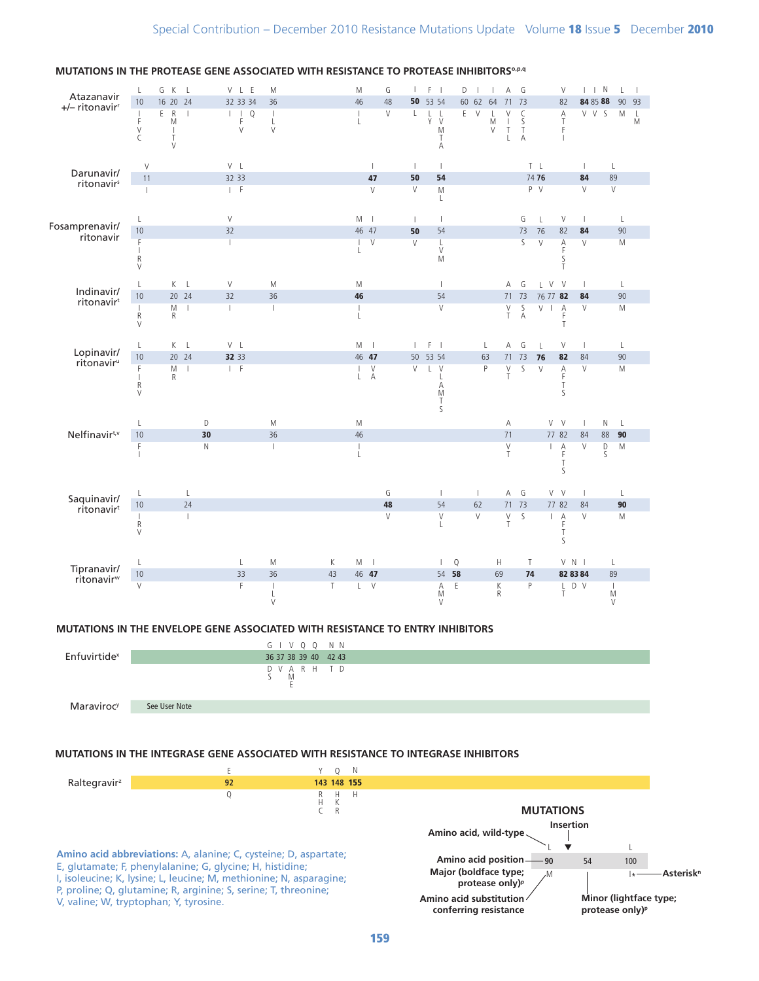

#### MUTATIONS IN THE PROTEASE GENE ASSOCIATED WITH RESISTANCE TO PROTEASE INHIBITORS<sup>o,p.q</sup>

### MUTATIONS IN THE ENVELOPE GENE ASSOCIATED WITH RESISTANCE TO ENTRY INHIBITORS



#### MUTATIONS IN THE INTEGRASE GENE ASSOCIATED WITH RESISTANCE TO INTEGRASE INHIBITORS

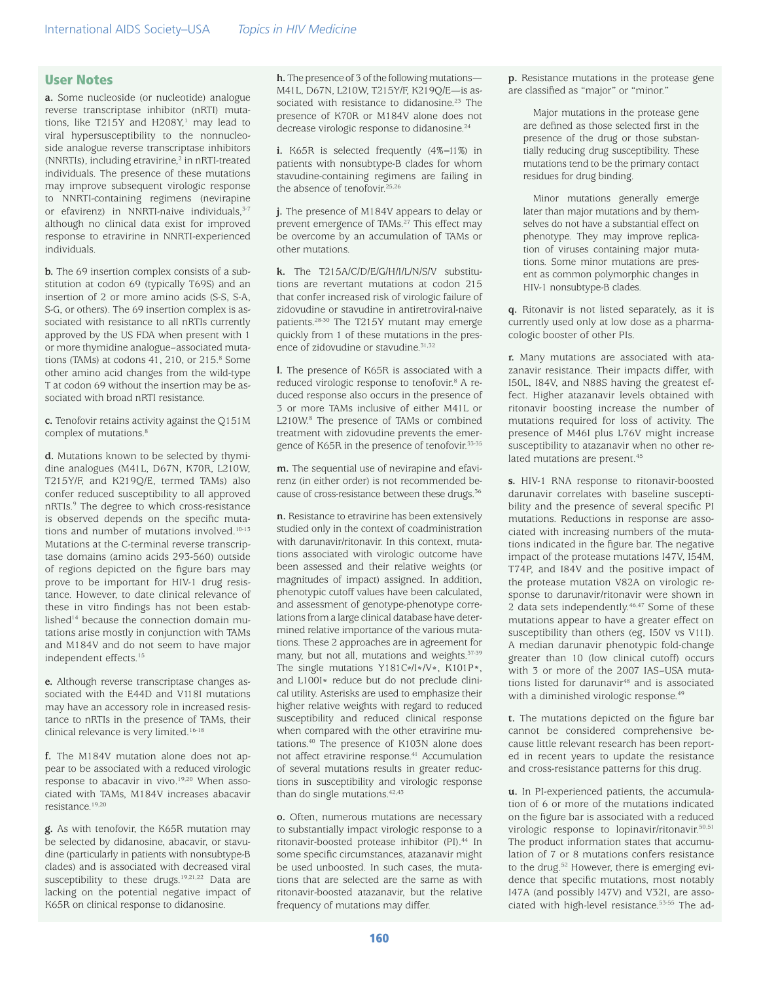#### User Notes

**a.** Some nucleoside (or nucleotide) analogue reverse transcriptase inhibitor (nRTI) mutations, like  $T215Y$  and  $H208Y$ ,<sup>1</sup> may lead to viral hypersusceptibility to the nonnucleoside analogue reverse transcriptase inhibitors (NNRTIs), including etravirine,<sup>2</sup> in nRTI-treated individuals. The presence of these mutations may improve subsequent virologic response to NNRTI-containing regimens (nevirapine or efavirenz) in NNRTI-naive individuals, 3-7 although no clinical data exist for improved response to etravirine in NNRTI-experienced individuals.

**b.** The 69 insertion complex consists of a substitution at codon 69 (typically T69S) and an insertion of 2 or more amino acids (S-S, S-A, S-G, or others). The 69 insertion complex is associated with resistance to all nRTIs currently approved by the US FDA when present with 1 or more thymidine analogue–associated mutations (TAMs) at codons  $41, 210,$  or  $215.8$  Some other amino acid changes from the wild-type T at codon 69 without the insertion may be associated with broad nRTI resistance.

**c.** Tenofovir retains activity against the Q151M complex of mutations.<sup>8</sup>

**d.** Mutations known to be selected by thymidine analogues (M41L, D67N, K70R, L210W, T215Y/F, and K219Q/E, termed TAMs) also confer reduced susceptibility to all approved nRTIs.9 The degree to which cross-resistance is observed depends on the specific mutations and number of mutations involved.10-13 Mutations at the C-terminal reverse transcriptase domains (amino acids 293-560) outside of regions depicted on the figure bars may prove to be important for HIV-1 drug resistance. However, to date clinical relevance of these in vitro findings has not been established<sup>14</sup> because the connection domain mutations arise mostly in conjunction with TAMs and M184V and do not seem to have major independent effects.15

**e.** Although reverse transcriptase changes associated with the E44D and V118I mutations may have an accessory role in increased resistance to nRTIs in the presence of TAMs, their clinical relevance is very limited.<sup>16-18</sup>

**f.** The M184V mutation alone does not appear to be associated with a reduced virologic response to abacavir in vivo.<sup>19,20</sup> When associated with TAMs, M184V increases abacavir resistance.19,20

**g.** As with tenofovir, the K65R mutation may be selected by didanosine, abacavir, or stavudine (particularly in patients with nonsubtype-B clades) and is associated with decreased viral susceptibility to these drugs.<sup>19,21,22</sup> Data are lacking on the potential negative impact of K65R on clinical response to didanosine.

**h.** The presence of 3 of the following mutations— M41L, D67N, L210W, T215Y/F, K219Q/E—is associated with resistance to didanosine.<sup>23</sup> The presence of K70R or M184V alone does not decrease virologic response to didanosine.24

**i.** K65R is selected frequently (4%*−*11%) in patients with nonsubtype-B clades for whom stavudine-containing regimens are failing in the absence of tenofovir.<sup>25,26</sup>

**j.** The presence of M184V appears to delay or prevent emergence of TAMs.<sup>27</sup> This effect may be overcome by an accumulation of TAMs or other mutations.

**k.** The T215A/C/D/E/G/H/I/L/N/S/V substitutions are revertant mutations at codon 215 that confer increased risk of virologic failure of zidovudine or stavudine in antiretroviral-naive patients.28-30 The T215Y mutant may emerge quickly from 1 of these mutations in the presence of zidovudine or stavudine.<sup>31,32</sup>

**l.** The presence of K65R is associated with a reduced virologic response to tenofovir.<sup>8</sup> A reduced response also occurs in the presence of 3 or more TAMs inclusive of either M41L or L210W.<sup>8</sup> The presence of TAMs or combined treatment with zidovudine prevents the emergence of K65R in the presence of tenofovir.33-35

**m.** The sequential use of nevirapine and efavirenz (in either order) is not recommended because of cross-resistance between these drugs.<sup>36</sup>

**n.** Resistance to etravirine has been extensively studied only in the context of coadministration with darunavir/ritonavir. In this context, mutations associated with virologic outcome have been assessed and their relative weights (or magnitudes of impact) assigned. In addition, phenotypic cutoff values have been calculated, and assessment of genotype-phenotype correlations from a large clinical database have determined relative importance of the various mutations. These 2 approaches are in agreement for many, but not all, mutations and weights.<sup>37-39</sup> The single mutations Y181C\*/I\*/V\*, K101P\*, and L100I\* reduce but do not preclude clinical utility. Asterisks are used to emphasize their higher relative weights with regard to reduced susceptibility and reduced clinical response when compared with the other etravirine mutations.40 The presence of K103N alone does not affect etravirine response.<sup>41</sup> Accumulation of several mutations results in greater reductions in susceptibility and virologic response than do single mutations.42,43

**o.** Often, numerous mutations are necessary to substantially impact virologic response to a ritonavir-boosted protease inhibitor (PI).<sup>44</sup> In some specific circumstances, atazanavir might be used unboosted. In such cases, the mutations that are selected are the same as with ritonavir-boosted atazanavir, but the relative frequency of mutations may differ.

**p.** Resistance mutations in the protease gene are classified as "major" or "minor."

Major mutations in the protease gene are defined as those selected first in the presence of the drug or those substantially reducing drug susceptibility. These mutations tend to be the primary contact residues for drug binding.

Minor mutations generally emerge later than major mutations and by themselves do not have a substantial effect on phenotype. They may improve replication of viruses containing major mutations. Some minor mutations are present as common polymorphic changes in HIV-1 nonsubtype-B clades.

**q.** Ritonavir is not listed separately, as it is currently used only at low dose as a pharmacologic booster of other PIs.

**r.** Many mutations are associated with atazanavir resistance. Their impacts differ, with I50L, I84V, and N88S having the greatest effect. Higher atazanavir levels obtained with ritonavir boosting increase the number of mutations required for loss of activity. The presence of M46I plus L76V might increase susceptibility to atazanavir when no other related mutations are present. 45

**s.** HIV-1 RNA response to ritonavir-boosted darunavir correlates with baseline susceptibility and the presence of several specific PI mutations. Reductions in response are associated with increasing numbers of the mutations indicated in the figure bar. The negative impact of the protease mutations I47V, I54M, T74P, and I84V and the positive impact of the protease mutation V82A on virologic response to darunavir/ritonavir were shown in 2 data sets independently.<sup>46,47</sup> Some of these mutations appear to have a greater effect on susceptibility than others (eg, I50V vs V11I). A median darunavir phenotypic fold-change greater than 10 (low clinical cutoff) occurs with 3 or more of the 2007 IAS–USA mutations listed for darunavir<sup>48</sup> and is associated with a diminished virologic response.<sup>49</sup>

**t.** The mutations depicted on the figure bar cannot be considered comprehensive because little relevant research has been reported in recent years to update the resistance and cross-resistance patterns for this drug.

**u.** In PI-experienced patients, the accumulation of 6 or more of the mutations indicated on the figure bar is associated with a reduced virologic response to lopinavir/ritonavir.<sup>50,51</sup> The product information states that accumulation of 7 or 8 mutations confers resistance to the drug.<sup>52</sup> However, there is emerging evidence that specific mutations, most notably I47A (and possibly I47V) and V32I, are associated with high-level resistance.53-55 The ad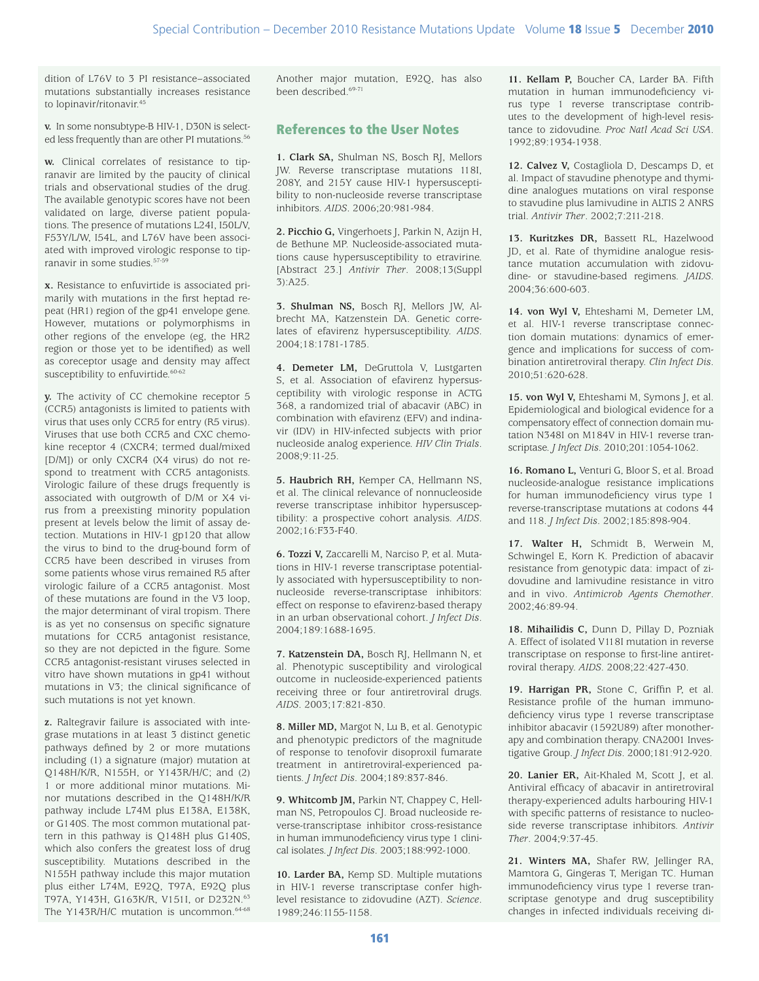dition of L76V to 3 PI resistance–associated mutations substantially increases resistance to lopinavir/ritonavir.45

**v.** In some nonsubtype-B HIV-1, D30N is selected less frequently than are other PI mutations.<sup>56</sup>

**w.** Clinical correlates of resistance to tipranavir are limited by the paucity of clinical trials and observational studies of the drug. The available genotypic scores have not been validated on large, diverse patient populations. The presence of mutations L24I, I50L/V, F53Y/L/W, I54L, and L76V have been associated with improved virologic response to tipranavir in some studies.57-59

**x.** Resistance to enfuvirtide is associated primarily with mutations in the first heptad repeat (HR1) region of the gp41 envelope gene. However, mutations or polymorphisms in other regions of the envelope (eg, the HR2 region or those yet to be identified) as well as coreceptor usage and density may affect susceptibility to enfuvirtide.<sup>60-62</sup>

**y.** The activity of CC chemokine receptor 5 (CCR5) antagonists is limited to patients with virus that uses only CCR5 for entry (R5 virus). Viruses that use both CCR5 and CXC chemokine receptor 4 (CXCR4; termed dual/mixed [D/M]) or only CXCR4 (X4 virus) do not respond to treatment with CCR5 antagonists. Virologic failure of these drugs frequently is associated with outgrowth of D/M or X4 virus from a preexisting minority population present at levels below the limit of assay detection. Mutations in HIV-1 gp120 that allow the virus to bind to the drug-bound form of CCR5 have been described in viruses from some patients whose virus remained R5 after virologic failure of a CCR5 antagonist. Most of these mutations are found in the V3 loop, the major determinant of viral tropism. There is as yet no consensus on specific signature mutations for CCR5 antagonist resistance, so they are not depicted in the figure. Some CCR5 antagonist-resistant viruses selected in vitro have shown mutations in gp41 without mutations in V3; the clinical significance of such mutations is not yet known.

**z.** Raltegravir failure is associated with integrase mutations in at least 3 distinct genetic pathways defined by 2 or more mutations including (1) a signature (major) mutation at Q148H/K/R, N155H, or Y143R/H/C; and (2) 1 or more additional minor mutations. Minor mutations described in the Q148H/K/R pathway include L74M plus E138A, E138K, or G140S. The most common mutational pattern in this pathway is Q148H plus G140S, which also confers the greatest loss of drug susceptibility. Mutations described in the N155H pathway include this major mutation plus either L74M, E92Q, T97A, E92Q plus T97A, Y143H, G163K/R, V151I, or D232N.63 The Y143R/H/C mutation is uncommon.<sup>64-68</sup>

Another major mutation, E92Q, has also been described.69-71

### References to the User Notes

**1. Clark SA,** Shulman NS, Bosch RJ, Mellors JW. Reverse transcriptase mutations 118I, 208Y, and 215Y cause HIV-1 hypersusceptibility to non-nucleoside reverse transcriptase inhibitors. *AIDS*. 2006;20:981-984.

**2. Picchio G,** Vingerhoets J, Parkin N, Azijn H, de Bethune MP. Nucleoside-associated mutations cause hypersusceptibility to etravirine. [Abstract 23.] *Antivir Ther*. 2008;13(Suppl 3):A25.

**3. Shulman NS,** Bosch RJ, Mellors JW, Albrecht MA, Katzenstein DA. Genetic correlates of efavirenz hypersusceptibility. *AIDS*. 2004;18:1781-1785.

**4. Demeter LM,** DeGruttola V, Lustgarten S, et al. Association of efavirenz hypersusceptibility with virologic response in ACTG 368, a randomized trial of abacavir (ABC) in combination with efavirenz (EFV) and indinavir (IDV) in HIV-infected subjects with prior nucleoside analog experience. *HIV Clin Trials*. 2008;9:11-25.

**5. Haubrich RH,** Kemper CA, Hellmann NS, et al. The clinical relevance of nonnucleoside reverse transcriptase inhibitor hypersusceptibility: a prospective cohort analysis. *AIDS*. 2002;16:F33-F40.

**6. Tozzi V,** Zaccarelli M, Narciso P, et al. Mutations in HIV-1 reverse transcriptase potentially associated with hypersusceptibility to nonnucleoside reverse-transcriptase inhibitors: effect on response to efavirenz-based therapy in an urban observational cohort. *J Infect Dis*. 2004;189:1688-1695.

**7. Katzenstein DA,** Bosch RJ, Hellmann N, et al. Phenotypic susceptibility and virological outcome in nucleoside-experienced patients receiving three or four antiretroviral drugs. *AIDS*. 2003;17:821-830.

**8. Miller MD,** Margot N, Lu B, et al. Genotypic and phenotypic predictors of the magnitude of response to tenofovir disoproxil fumarate treatment in antiretroviral-experienced patients. *J Infect Dis*. 2004;189:837-846.

**9. Whitcomb JM,** Parkin NT, Chappey C, Hellman NS, Petropoulos CJ. Broad nucleoside reverse-transcriptase inhibitor cross-resistance in human immunodeficiency virus type 1 clinical isolates. *J Infect Dis*. 2003;188:992-1000.

**10. Larder BA,** Kemp SD. Multiple mutations in HIV-1 reverse transcriptase confer highlevel resistance to zidovudine (AZT). *Science*. 1989;246:1155-1158.

**11. Kellam P,** Boucher CA, Larder BA. Fifth mutation in human immunodeficiency virus type 1 reverse transcriptase contributes to the development of high-level resistance to zidovudine. *Proc Natl Acad Sci USA*. 1992;89:1934-1938.

**12. Calvez V,** Costagliola D, Descamps D, et al. Impact of stavudine phenotype and thymidine analogues mutations on viral response to stavudine plus lamivudine in ALTIS 2 ANRS trial. *Antivir Ther*. 2002;7:211-218.

**13. Kuritzkes DR,** Bassett RL, Hazelwood JD, et al. Rate of thymidine analogue resistance mutation accumulation with zidovudine- or stavudine-based regimens. *JAIDS*. 2004;36:600-603.

**14. von Wyl V,** Ehteshami M, Demeter LM, et al. HIV-1 reverse transcriptase connection domain mutations: dynamics of emergence and implications for success of combination antiretroviral therapy. *Clin Infect Dis*. 2010;51:620-628.

**15. von Wyl V,** Ehteshami M, Symons J, et al. Epidemiological and biological evidence for a compensatory effect of connection domain mutation N348I on M184V in HIV-1 reverse transcriptase. *J Infect Dis*. 2010;201:1054-1062.

**16. Romano L,** Venturi G, Bloor S, et al. Broad nucleoside-analogue resistance implications for human immunodeficiency virus type 1 reverse-transcriptase mutations at codons 44 and 118. *J Infect Dis*. 2002;185:898-904.

**17. Walter H,** Schmidt B, Werwein M, Schwingel E, Korn K. Prediction of abacavir resistance from genotypic data: impact of zidovudine and lamivudine resistance in vitro and in vivo. *Antimicrob Agents Chemother*. 2002;46:89-94.

**18. Mihailidis C,** Dunn D, Pillay D, Pozniak A. Effect of isolated V118I mutation in reverse transcriptase on response to first-line antiretroviral therapy. *AIDS*. 2008;22:427-430.

**19. Harrigan PR,** Stone C, Griffin P, et al. Resistance profile of the human immunodeficiency virus type 1 reverse transcriptase inhibitor abacavir (1592U89) after monotherapy and combination therapy. CNA2001 Investigative Group. *J Infect Dis*. 2000;181:912-920.

**20. Lanier ER,** Ait-Khaled M, Scott J, et al. Antiviral efficacy of abacavir in antiretroviral therapy-experienced adults harbouring HIV-1 with specific patterns of resistance to nucleoside reverse transcriptase inhibitors. *Antivir Ther*. 2004;9:37-45.

**21. Winters MA,** Shafer RW, Jellinger RA, Mamtora G, Gingeras T, Merigan TC. Human immunodeficiency virus type 1 reverse transcriptase genotype and drug susceptibility changes in infected individuals receiving di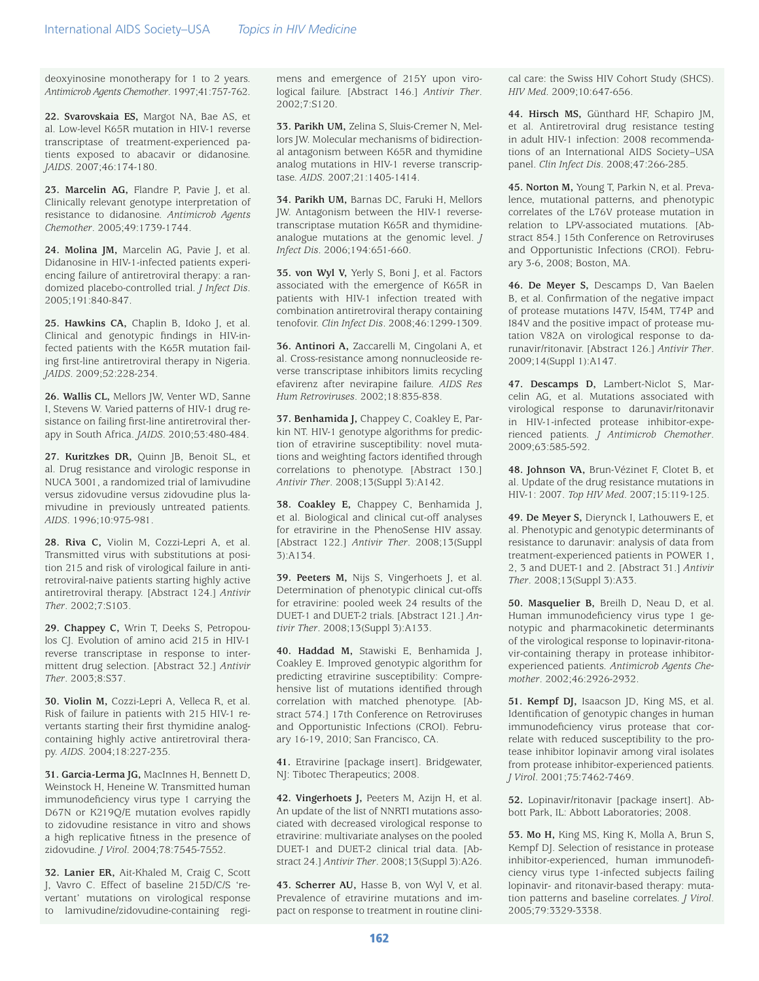deoxyinosine monotherapy for 1 to 2 years. *Antimicrob Agents Chemother*. 1997;41:757-762.

**22. Svarovskaia ES,** Margot NA, Bae AS, et al. Low-level K65R mutation in HIV-1 reverse transcriptase of treatment-experienced patients exposed to abacavir or didanosine. *JAIDS*. 2007;46:174-180.

**23. Marcelin AG,** Flandre P, Pavie J, et al. Clinically relevant genotype interpretation of resistance to didanosine. *Antimicrob Agents Chemother*. 2005;49:1739-1744.

**24. Molina JM,** Marcelin AG, Pavie J, et al. Didanosine in HIV-1-infected patients experiencing failure of antiretroviral therapy: a randomized placebo-controlled trial. *J Infect Dis*. 2005;191:840-847.

**25. Hawkins CA,** Chaplin B, Idoko J, et al. Clinical and genotypic findings in HIV-infected patients with the K65R mutation failing first-line antiretroviral therapy in Nigeria. *JAIDS*. 2009;52:228-234.

**26. Wallis CL,** Mellors JW, Venter WD, Sanne I, Stevens W. Varied patterns of HIV-1 drug resistance on failing first-line antiretroviral therapy in South Africa. *JAIDS*. 2010;53:480-484.

**27. Kuritzkes DR,** Quinn JB, Benoit SL, et al. Drug resistance and virologic response in NUCA 3001, a randomized trial of lamivudine versus zidovudine versus zidovudine plus lamivudine in previously untreated patients. *AIDS*. 1996;10:975-981.

**28. Riva C,** Violin M, Cozzi-Lepri A, et al. Transmitted virus with substitutions at position 215 and risk of virological failure in antiretroviral-naive patients starting highly active antiretroviral therapy. [Abstract 124.] *Antivir Ther*. 2002;7:S103.

**29. Chappey C,** Wrin T, Deeks S, Petropoulos CJ. Evolution of amino acid 215 in HIV-1 reverse transcriptase in response to intermittent drug selection. [Abstract 32.] *Antivir Ther*. 2003;8:S37.

**30. Violin M,** Cozzi-Lepri A, Velleca R, et al. Risk of failure in patients with 215 HIV-1 revertants starting their first thymidine analogcontaining highly active antiretroviral therapy. *AIDS*. 2004;18:227-235.

**31. Garcia-Lerma JG,** MacInnes H, Bennett D, Weinstock H, Heneine W. Transmitted human immunodeficiency virus type 1 carrying the D67N or K219Q/E mutation evolves rapidly to zidovudine resistance in vitro and shows a high replicative fitness in the presence of zidovudine. *J Virol*. 2004;78:7545-7552.

**32. Lanier ER,** Ait-Khaled M, Craig C, Scott J, Vavro C. Effect of baseline 215D/C/S 'revertant' mutations on virological response to lamivudine/zidovudine-containing regimens and emergence of 215Y upon virological failure. [Abstract 146.] *Antivir Ther*. 2002;7:S120.

**33. Parikh UM,** Zelina S, Sluis-Cremer N, Mellors JW. Molecular mechanisms of bidirectional antagonism between K65R and thymidine analog mutations in HIV-1 reverse transcriptase. *AIDS*. 2007;21:1405-1414.

**34. Parikh UM,** Barnas DC, Faruki H, Mellors JW. Antagonism between the HIV-1 reversetranscriptase mutation K65R and thymidineanalogue mutations at the genomic level. *J Infect Dis*. 2006;194:651-660.

**35. von Wyl V,** Yerly S, Boni J, et al. Factors associated with the emergence of K65R in patients with HIV-1 infection treated with combination antiretroviral therapy containing tenofovir. *Clin Infect Dis*. 2008;46:1299-1309.

**36. Antinori A,** Zaccarelli M, Cingolani A, et al. Cross-resistance among nonnucleoside reverse transcriptase inhibitors limits recycling efavirenz after nevirapine failure. *AIDS Res Hum Retroviruses*. 2002;18:835-838.

**37. Benhamida J,** Chappey C, Coakley E, Parkin NT. HIV-1 genotype algorithms for prediction of etravirine susceptibility: novel mutations and weighting factors identified through correlations to phenotype. [Abstract 130.] *Antivir Ther*. 2008;13(Suppl 3):A142.

**38. Coakley E,** Chappey C, Benhamida J, et al. Biological and clinical cut-off analyses for etravirine in the PhenoSense HIV assay. [Abstract 122.] *Antivir Ther*. 2008;13(Suppl 3):A134.

**39. Peeters M,** Nijs S, Vingerhoets J, et al. Determination of phenotypic clinical cut-offs for etravirine: pooled week 24 results of the DUET-1 and DUET-2 trials. [Abstract 121.] *Antivir Ther*. 2008;13(Suppl 3):A133.

**40. Haddad M,** Stawiski E, Benhamida J, Coakley E. Improved genotypic algorithm for predicting etravirine susceptibility: Comprehensive list of mutations identified through correlation with matched phenotype. [Abstract 574.] 17th Conference on Retroviruses and Opportunistic Infections (CROI). February 16-19, 2010; San Francisco, CA.

**41.** Etravirine [package insert]. Bridgewater, NJ: Tibotec Therapeutics; 2008.

**42. Vingerhoets J,** Peeters M, Azijn H, et al. An update of the list of NNRTI mutations associated with decreased virological response to etravirine: multivariate analyses on the pooled DUET-1 and DUET-2 clinical trial data. [Abstract 24.] *Antivir Ther*. 2008;13(Suppl 3):A26.

**43. Scherrer AU,** Hasse B, von Wyl V, et al. Prevalence of etravirine mutations and impact on response to treatment in routine clinical care: the Swiss HIV Cohort Study (SHCS). *HIV Med*. 2009;10:647-656.

**44. Hirsch MS,** Günthard HF, Schapiro JM, et al. Antiretroviral drug resistance testing in adult HIV-1 infection: 2008 recommendations of an International AIDS Society–USA panel. *Clin Infect Dis*. 2008;47:266-285.

**45. Norton M,** Young T, Parkin N, et al. Prevalence, mutational patterns, and phenotypic correlates of the L76V protease mutation in relation to LPV-associated mutations. [Abstract 854.] 15th Conference on Retroviruses and Opportunistic Infections (CROI). February 3-6, 2008; Boston, MA.

**46. De Meyer S,** Descamps D, Van Baelen B, et al. Confirmation of the negative impact of protease mutations I47V, I54M, T74P and I84V and the positive impact of protease mutation V82A on virological response to darunavir/ritonavir. [Abstract 126.] *Antivir Ther*. 2009;14(Suppl 1):A147.

**47. Descamps D,** Lambert-Niclot S, Marcelin AG, et al. Mutations associated with virological response to darunavir/ritonavir in HIV-1-infected protease inhibitor-experienced patients. *J Antimicrob Chemother*. 2009;63:585-592.

**48. Johnson VA,** Brun-Vézinet F, Clotet B, et al. Update of the drug resistance mutations in HIV-1: 2007. *Top HIV Med*. 2007;15:119-125.

**49. De Meyer S,** Dierynck I, Lathouwers E, et al. Phenotypic and genotypic determinants of resistance to darunavir: analysis of data from treatment-experienced patients in POWER 1, 2, 3 and DUET-1 and 2. [Abstract 31.] *Antivir Ther*. 2008;13(Suppl 3):A33.

**50. Masquelier B,** Breilh D, Neau D, et al. Human immunodeficiency virus type 1 genotypic and pharmacokinetic determinants of the virological response to lopinavir-ritonavir-containing therapy in protease inhibitorexperienced patients. *Antimicrob Agents Chemother*. 2002;46:2926-2932.

**51. Kempf DJ,** Isaacson JD, King MS, et al. Identification of genotypic changes in human immunodeficiency virus protease that correlate with reduced susceptibility to the protease inhibitor lopinavir among viral isolates from protease inhibitor-experienced patients. *J Virol*. 2001;75:7462-7469.

**52.** Lopinavir/ritonavir [package insert]. Abbott Park, IL: Abbott Laboratories; 2008.

**53. Mo H,** King MS, King K, Molla A, Brun S, Kempf DJ. Selection of resistance in protease inhibitor-experienced, human immunodeficiency virus type 1-infected subjects failing lopinavir- and ritonavir-based therapy: mutation patterns and baseline correlates. *J Virol*. 2005;79:3329-3338.